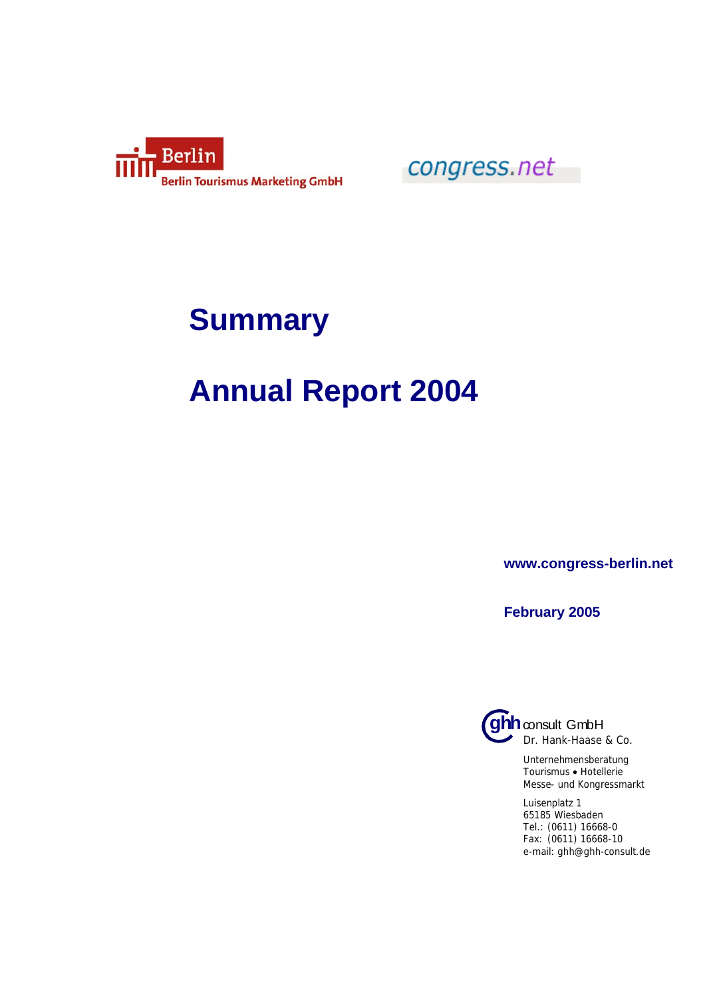

congress.net

## **Summary**

## **Annual Report 2004**

**www.congress-berlin.net** 

**February 2005**



Unternehmensberatung Tourismus • Hotellerie Messe- und Kongressmarkt

Luisenplatz 1 65185 Wiesbaden Tel.: (0611) 16668-0 Fax: (0611) 16668-10 e-mail: ghh@ghh-consult.de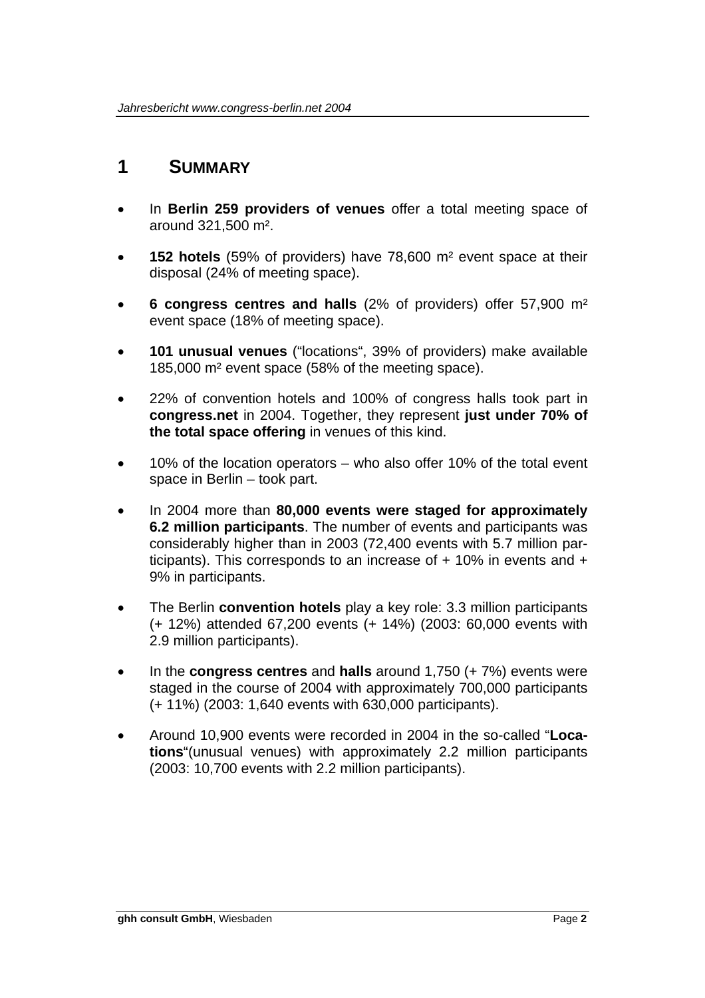## **1 SUMMARY**

- In **Berlin 259 providers of venues** offer a total meeting space of around 321,500 m².
- **152 hotels** (59% of providers) have 78,600 m² event space at their disposal (24% of meeting space).
- **6 congress centres and halls** (2% of providers) offer 57,900 m² event space (18% of meeting space).
- **101 unusual venues** ("locations", 39% of providers) make available 185,000 m² event space (58% of the meeting space).
- 22% of convention hotels and 100% of congress halls took part in **congress.net** in 2004. Together, they represent **just under 70% of the total space offering** in venues of this kind.
- 10% of the location operators who also offer 10% of the total event space in Berlin – took part.
- In 2004 more than **80,000 events were staged for approximately 6.2 million participants**. The number of events and participants was considerably higher than in 2003 (72,400 events with 5.7 million participants). This corresponds to an increase of  $+$  10% in events and  $+$ 9% in participants.
- The Berlin **convention hotels** play a key role: 3.3 million participants (+ 12%) attended 67,200 events (+ 14%) (2003: 60,000 events with 2.9 million participants).
- In the **congress centres** and **halls** around 1,750 (+ 7%) events were staged in the course of 2004 with approximately 700,000 participants (+ 11%) (2003: 1,640 events with 630,000 participants).
- Around 10,900 events were recorded in 2004 in the so-called "**Locations**"(unusual venues) with approximately 2.2 million participants (2003: 10,700 events with 2.2 million participants).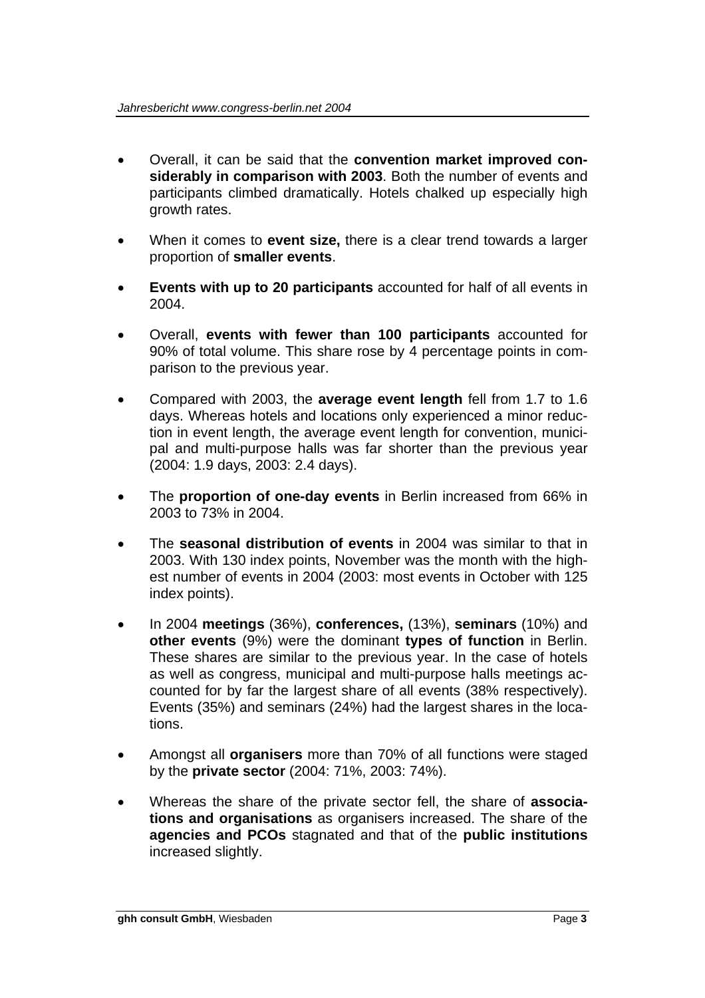- Overall, it can be said that the **convention market improved considerably in comparison with 2003**. Both the number of events and participants climbed dramatically. Hotels chalked up especially high growth rates.
- When it comes to **event size,** there is a clear trend towards a larger proportion of **smaller events**.
- **Events with up to 20 participants** accounted for half of all events in 2004.
- Overall, **events with fewer than 100 participants** accounted for 90% of total volume. This share rose by 4 percentage points in comparison to the previous year.
- Compared with 2003, the **average event length** fell from 1.7 to 1.6 days. Whereas hotels and locations only experienced a minor reduction in event length, the average event length for convention, municipal and multi-purpose halls was far shorter than the previous year (2004: 1.9 days, 2003: 2.4 days).
- The **proportion of one-day events** in Berlin increased from 66% in 2003 to 73% in 2004.
- The **seasonal distribution of events** in 2004 was similar to that in 2003. With 130 index points, November was the month with the highest number of events in 2004 (2003: most events in October with 125 index points).
- In 2004 **meetings** (36%), **conferences,** (13%), **seminars** (10%) and **other events** (9%) were the dominant **types of function** in Berlin. These shares are similar to the previous year. In the case of hotels as well as congress, municipal and multi-purpose halls meetings accounted for by far the largest share of all events (38% respectively). Events (35%) and seminars (24%) had the largest shares in the locations.
- Amongst all **organisers** more than 70% of all functions were staged by the **private sector** (2004: 71%, 2003: 74%).
- Whereas the share of the private sector fell, the share of **associations and organisations** as organisers increased. The share of the **agencies and PCOs** stagnated and that of the **public institutions**  increased slightly.